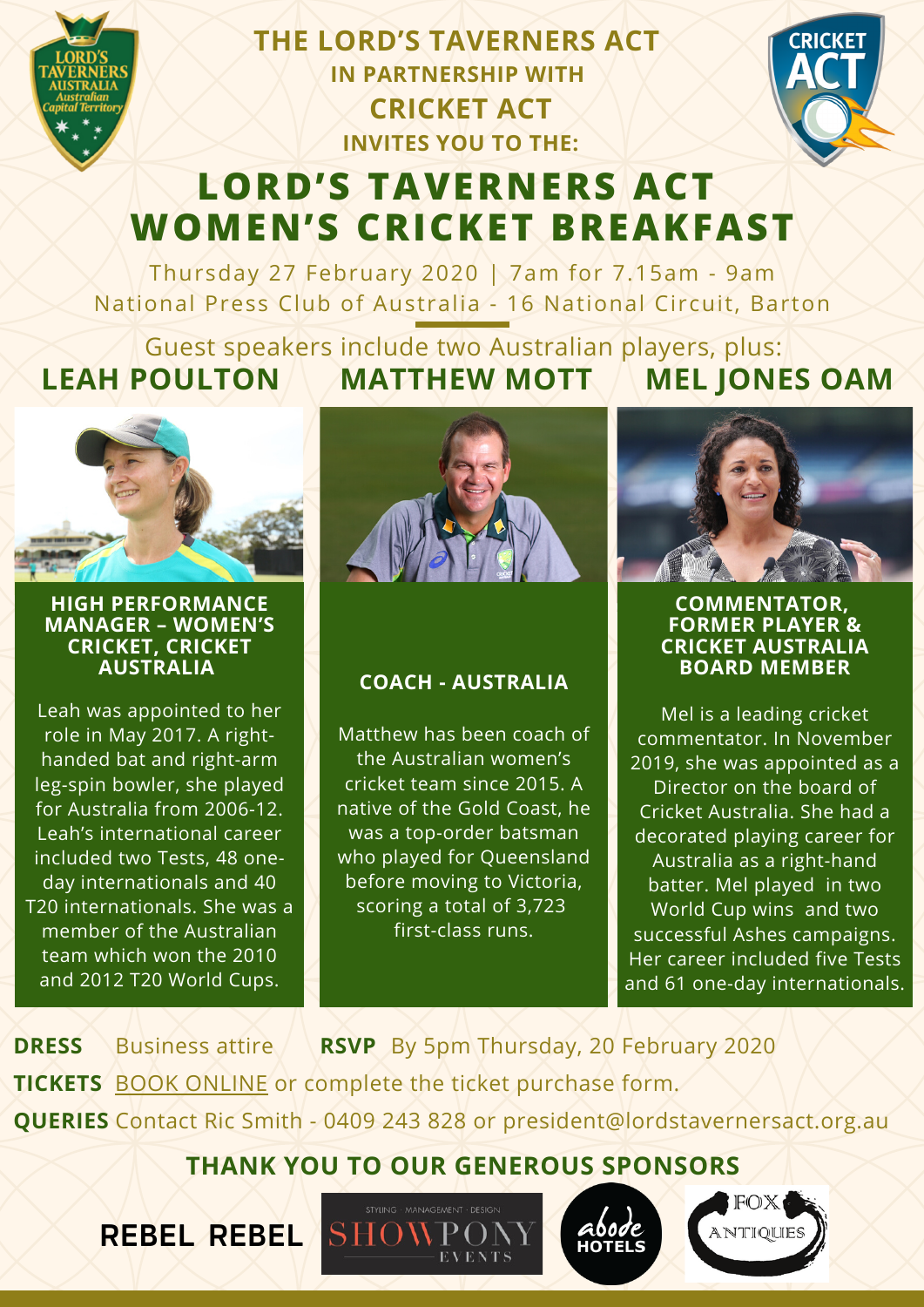

**THE LORD'S TAVERNERS ACT IN PARTNERSHIP WITH CRICKET ACT INVITES YOU TO THE:**



# **LORD'S [TAVERNERS](https://lordstavernersact.org.au/2020-womens-cricket-breakfast/) ACT WOMEN'S CRICKET BREAKFAST**

Thursday 27 February 2020 | 7am for 7.15am - 9am National Press Club of Australia - 16 National Circuit, Barton

Guest speakers include two Australian players, plus: **LEAH POULTON MATTHEW MOTT MEL JONES OAM**



#### **HIGH PERFORMANCE MANAGER – WOMEN'S CRICKET, CRICKET AUSTRALIA**

Leah was appointed to her role in May 2017. A righthanded bat and right-arm leg-spin bowler, she played for Australia from 2006-12. Leah's international career included two Tests, 48 oneday internationals and 40 T20 internationals. She was a member of the Australian team which won the 2010 and 2012 T20 World Cups.

**REBEL REBEL**



### **COACH - AUSTRALIA**

Matthew has been coach of the Australian women's cricket team since 2015. A native of the Gold Coast, he was a top-order batsman who played for Queensland before moving to Victoria, scoring a total of 3,723 first-class runs.



#### **COMMENTATOR, FORMER PLAYER & CRICKET AUSTRALIA BOARD MEMBER**

Mel is a leading cricket commentator. In November 2019, she was appointed as a Director on the board of Cricket Australia. She had a decorated playing career for Australia as a right-hand batter. Mel played in two World Cup wins and two successful Ashes campaigns. Her career included five Tests and 61 one-day internationals.

**DRESS** Business attire **RSVP** By 5pm Thursday, 20 February 2020 **TICKETS** BOOK ONLINE or [complete](https://lordstavernersact.org.au/2020-womens-cricket-breakfast/) the ticket purchase form. **QUERIES** Contact Ric Smith - 0409 243 828 or president@lordstavernersact.org.au

**THANK YOU TO OUR GENEROUS SPONSORS**

**EVENTS** 

SHOWPOI